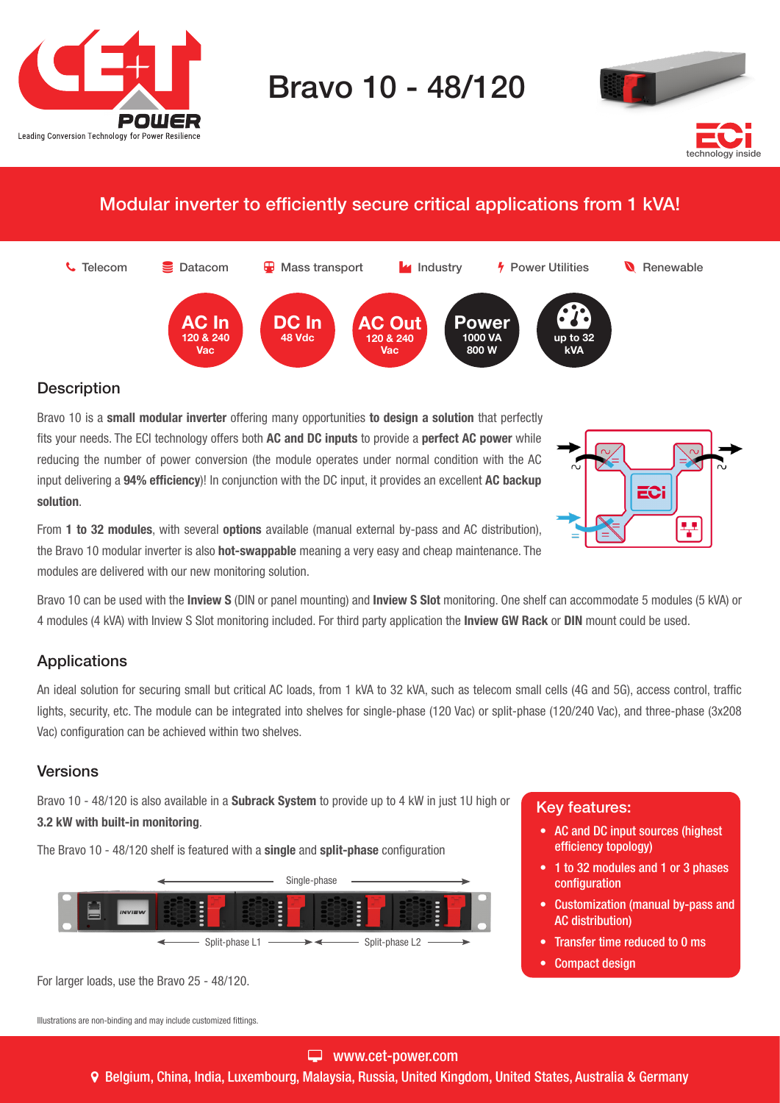

# Bravo 10 - 48/120



# Modular inverter to efficiently secure critical applications from 1 kVA!



## **Description**

Bravo 10 is a small modular inverter offering many opportunities to design a solution that perfectly fits your needs. The ECI technology offers both AC and DC inputs to provide a perfect AC power while reducing the number of power conversion (the module operates under normal condition with the AC input delivering a 94% efficiency)! In conjunction with the DC input, it provides an excellent AC backup solution.

ECi 북

From 1 to 32 modules, with several options available (manual external by-pass and AC distribution), the Bravo 10 modular inverter is also **hot-swappable** meaning a very easy and cheap maintenance. The modules are delivered with our new monitoring solution.

Bravo 10 can be used with the Inview S (DIN or panel mounting) and Inview S Slot monitoring. One shelf can accommodate 5 modules (5 kVA) or 4 modules (4 kVA) with Inview S Slot monitoring included. For third party application the Inview GW Rack or DIN mount could be used.

## **Applications**

An ideal solution for securing small but critical AC loads, from 1 kVA to 32 kVA, such as telecom small cells (4G and 5G), access control, traffic lights, security, etc. The module can be integrated into shelves for single-phase (120 Vac) or split-phase (120/240 Vac), and three-phase (3x208 Vac) configuration can be achieved within two shelves.

## Versions

Bravo 10 - 48/120 is also available in a **Subrack System** to provide up to 4 kW in just 1U high or 3.2 kW with built-in monitoring.

The Bravo 10 - 48/120 shelf is featured with a single and split-phase configuration



For larger loads, use the Bravo 25 - 48/120.

Illustrations are non-binding and may include customized fittings.

#### www.cet-power.com

Belgium, China, India, Luxembourg, Malaysia, Russia, United Kingdom, United States, Australia & Germany

#### Key features:

- AC and DC input sources (highest efficiency topology)
- 1 to 32 modules and 1 or 3 phases configuration
- Customization (manual by-pass and AC distribution)
- Transfer time reduced to 0 ms
- Compact design